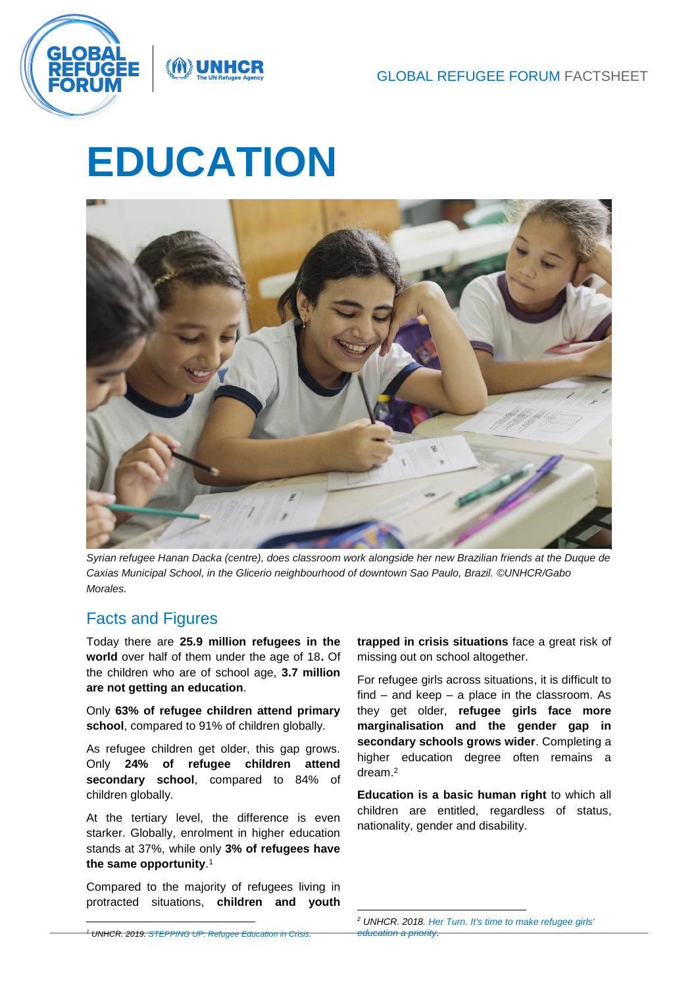

# **EDUCATION**

NUNHCF



*Syrian refugee Hanan Dacka (centre), does classroom work alongside her new Brazilian friends at the Duque de Caxias Municipal School, in the Glicerio neighbourhood of downtown Sao Paulo, Brazil. ©UNHCR/Gabo Morales.*

# Facts and Figures

l

Today there are **25.9 million refugees in the world** over half of them under the age of 18**.** Of the children who are of school age, **3.7 million are not getting an education**.

Only **63% of refugee children attend primary school**, compared to 91% of children globally.

As refugee children get older, this gap grows. Only **24% of refugee children attend secondary school**, compared to 84% of children globally.

At the tertiary level, the difference is even starker. Globally, enrolment in higher education stands at 37%, while only **3% of refugees have the same opportunity**. 1

Compared to the majority of refugees living in protracted situations, **children and youth**  **trapped in crisis situations** face a great risk of missing out on school altogether.

For refugee girls across situations, it is difficult to find – and keep – a place in the classroom. As they get older, **refugee girls face more marginalisation and the gender gap in secondary schools grows wider**. Completing a higher education degree often remains a dream.<sup>2</sup>

**Education is a basic human right** to which all children are entitled, regardless of status, nationality, gender and disability.

*<sup>1</sup> UNHCR. 2019. [STEPPING UP: Refugee Education in Crisis.](https://www.unhcr.org/steppingup/)* 

<sup>-</sup>*<sup>2</sup> UNHCR. 2018[. Her Turn. It's time to make refugee girls'](https://www.unhcr.org/herturn/)  [education a priority.](https://www.unhcr.org/herturn/)*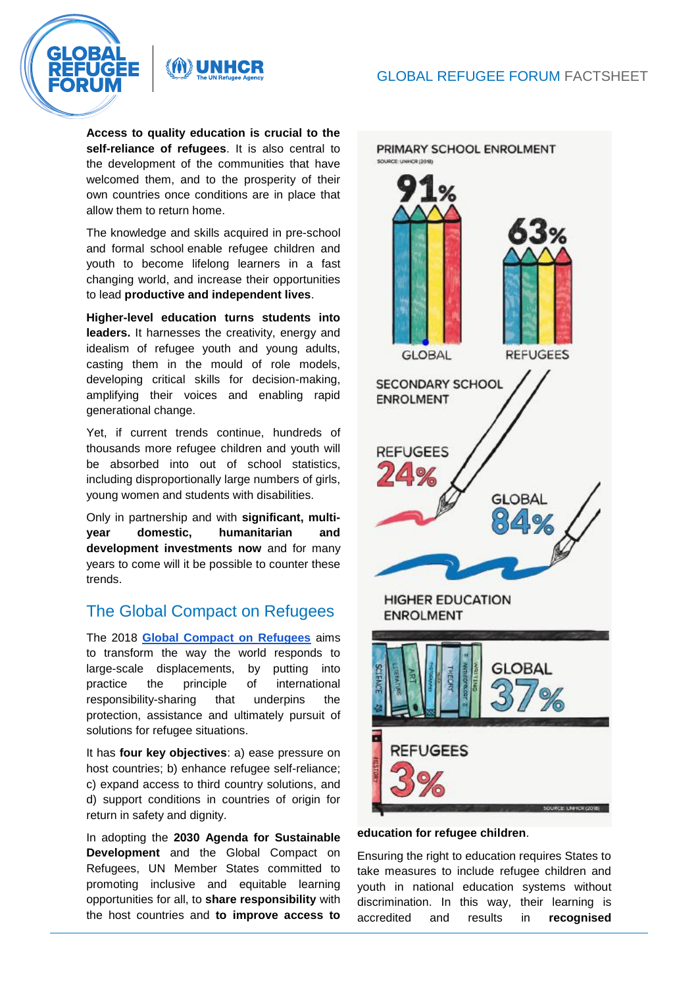

**MUNHCR** 

**Access to quality education is crucial to the self-reliance of refugees**. It is also central to the development of the communities that have welcomed them, and to the prosperity of their own countries once conditions are in place that allow them to return home.

The knowledge and skills acquired in pre-school and formal school enable refugee children and youth to become lifelong learners in a fast changing world, and increase their opportunities to lead **productive and independent lives**.

**Higher-level education turns students into leaders.** It harnesses the creativity, energy and idealism of refugee youth and young adults, casting them in the mould of role models, developing critical skills for decision-making, amplifying their voices and enabling rapid generational change.

Yet, if current trends continue, hundreds of thousands more refugee children and youth will be absorbed into out of school statistics, including disproportionally large numbers of girls, young women and students with disabilities.

Only in partnership and with **significant, multiyear domestic, humanitarian and development investments now** and for many years to come will it be possible to counter these trends.

# The Global Compact on Refugees

The 2018 **[Global Compact on Refugees](https://www.unhcr.org/the-global-compact-on-refugees.html)** aims to transform the way the world responds to large-scale displacements, by putting into practice the principle of international responsibility-sharing that underpins the protection, assistance and ultimately pursuit of solutions for refugee situations.

It has **four key objectives**: a) ease pressure on host countries; b) enhance refugee self-reliance; c) expand access to third country solutions, and d) support conditions in countries of origin for return in safety and dignity.

In adopting the **[2030 Agenda for](https://sustainabledevelopment.un.org/post2015/transformingourworld) Sustainable [Development](https://sustainabledevelopment.un.org/post2015/transformingourworld)** and the Global Compact on Refugees, UN Member States committed to promoting inclusive and equitable learning opportunities for all, to **share responsibility** with the host countries and **to improve access to** 



### **education for refugee children**.

Ensuring the right to education requires States to take measures to include refugee children and youth in national education systems without discrimination. In this way, their learning is accredited and results in **recognised**